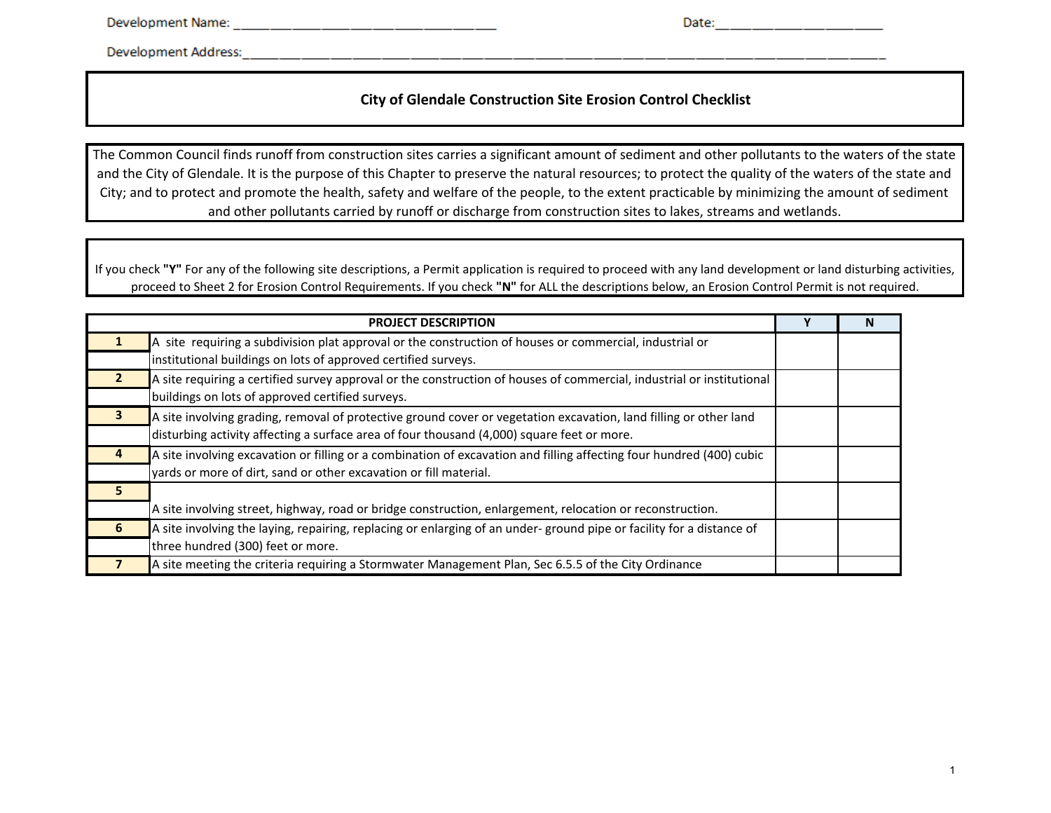Date: \_\_ \_\_ \_\_ \_\_ \_\_ \_\_ \_\_ \_\_ \_\_ \_\_

Development Address: North and the state of the state of the state of the state of the state of the state of the state of the state of the state of the state of the state of the state of the state of the state of the state

# **City of Glendale Construction Site Erosion Control Checklist**

The Common Council finds runoff from construction sites carries <sup>a</sup> significant amount of sediment and other pollutants to the waters of the state and the City of Glendale. It is the purpose of this Chapter to preserve the natural resources; to protect the quality of the waters of the state and City; and to protect and promote the health, safety and welfare of the people, to the extent practicable by minimizing the amount of sediment and other pollutants carried by runoff or discharge from construction sites to lakes, streams and wetlands.

If you check "Y" For any of the following site descriptions, a Permit application is required to proceed with any land development or land disturbing activities, proceed to Sheet 2 for Erosion Control Requirements. If you check **"N"** for ALL the descriptions below, an Erosion Control Permit is not required.

|    | <b>PROJECT DESCRIPTION</b>                                                                                            |  |
|----|-----------------------------------------------------------------------------------------------------------------------|--|
|    | A site requiring a subdivision plat approval or the construction of houses or commercial, industrial or               |  |
|    | institutional buildings on lots of approved certified surveys.                                                        |  |
|    | A site requiring a certified survey approval or the construction of houses of commercial, industrial or institutional |  |
|    | buildings on lots of approved certified surveys.                                                                      |  |
|    | A site involving grading, removal of protective ground cover or vegetation excavation, land filling or other land     |  |
|    | disturbing activity affecting a surface area of four thousand (4,000) square feet or more.                            |  |
|    | A site involving excavation or filling or a combination of excavation and filling affecting four hundred (400) cubic  |  |
|    | yards or more of dirt, sand or other excavation or fill material.                                                     |  |
|    |                                                                                                                       |  |
|    | A site involving street, highway, road or bridge construction, enlargement, relocation or reconstruction.             |  |
| -6 | A site involving the laying, repairing, replacing or enlarging of an under-ground pipe or facility for a distance of  |  |
|    | three hundred (300) feet or more.                                                                                     |  |
|    | A site meeting the criteria requiring a Stormwater Management Plan, Sec 6.5.5 of the City Ordinance                   |  |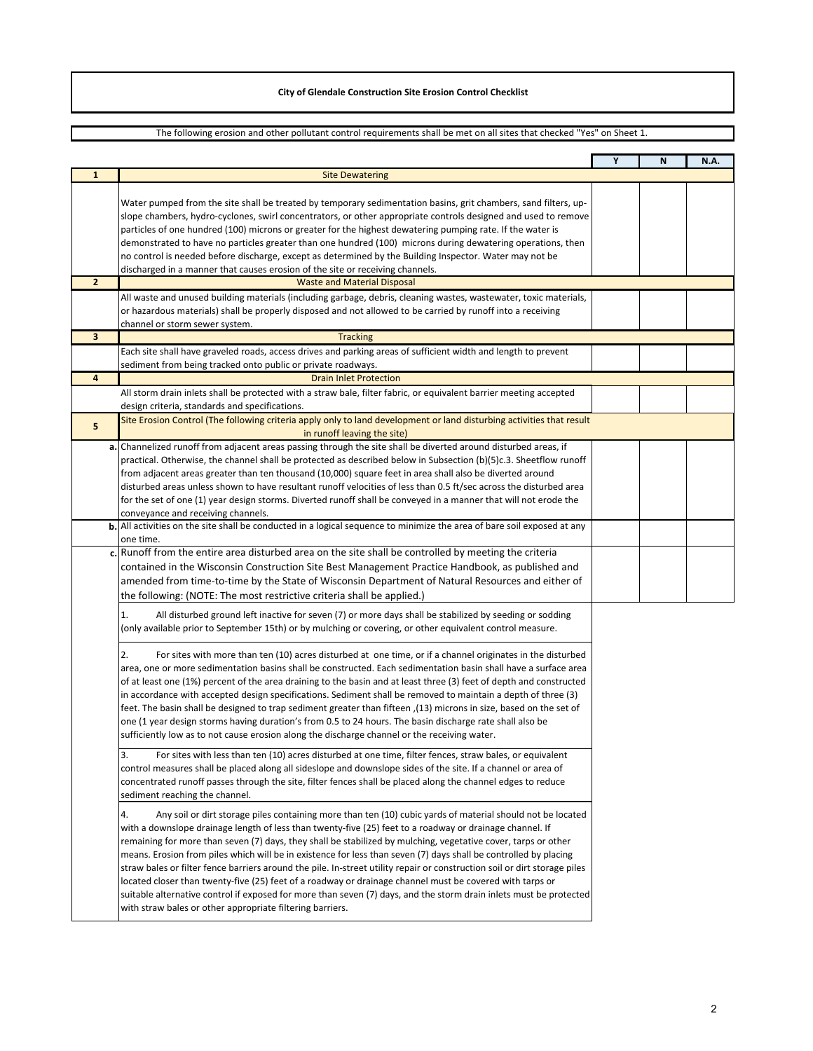## The following erosion and other pollutant control requirements shall be met on all sites that checked "Yes" on Sheet 1.

|                |                                                                                                                                                                                                                                                                                                                                                                                                                                                                                                                                                                                                                                                                                                                                                                                                                                                                                                | Y | N | N.A. |
|----------------|------------------------------------------------------------------------------------------------------------------------------------------------------------------------------------------------------------------------------------------------------------------------------------------------------------------------------------------------------------------------------------------------------------------------------------------------------------------------------------------------------------------------------------------------------------------------------------------------------------------------------------------------------------------------------------------------------------------------------------------------------------------------------------------------------------------------------------------------------------------------------------------------|---|---|------|
| $\mathbf{1}$   | <b>Site Dewatering</b>                                                                                                                                                                                                                                                                                                                                                                                                                                                                                                                                                                                                                                                                                                                                                                                                                                                                         |   |   |      |
|                | Water pumped from the site shall be treated by temporary sedimentation basins, grit chambers, sand filters, up-<br>slope chambers, hydro-cyclones, swirl concentrators, or other appropriate controls designed and used to remove<br>particles of one hundred (100) microns or greater for the highest dewatering pumping rate. If the water is<br>demonstrated to have no particles greater than one hundred (100) microns during dewatering operations, then<br>no control is needed before discharge, except as determined by the Building Inspector. Water may not be<br>discharged in a manner that causes erosion of the site or receiving channels.                                                                                                                                                                                                                                     |   |   |      |
| $\overline{2}$ | <b>Waste and Material Disposal</b>                                                                                                                                                                                                                                                                                                                                                                                                                                                                                                                                                                                                                                                                                                                                                                                                                                                             |   |   |      |
|                | All waste and unused building materials (including garbage, debris, cleaning wastes, wastewater, toxic materials,<br>or hazardous materials) shall be properly disposed and not allowed to be carried by runoff into a receiving<br>channel or storm sewer system.                                                                                                                                                                                                                                                                                                                                                                                                                                                                                                                                                                                                                             |   |   |      |
| 3              | <b>Tracking</b>                                                                                                                                                                                                                                                                                                                                                                                                                                                                                                                                                                                                                                                                                                                                                                                                                                                                                |   |   |      |
|                | Each site shall have graveled roads, access drives and parking areas of sufficient width and length to prevent<br>sediment from being tracked onto public or private roadways.                                                                                                                                                                                                                                                                                                                                                                                                                                                                                                                                                                                                                                                                                                                 |   |   |      |
| 4              | <b>Drain Inlet Protection</b>                                                                                                                                                                                                                                                                                                                                                                                                                                                                                                                                                                                                                                                                                                                                                                                                                                                                  |   |   |      |
|                | All storm drain inlets shall be protected with a straw bale, filter fabric, or equivalent barrier meeting accepted<br>design criteria, standards and specifications.                                                                                                                                                                                                                                                                                                                                                                                                                                                                                                                                                                                                                                                                                                                           |   |   |      |
| 5              | Site Erosion Control (The following criteria apply only to land development or land disturbing activities that result<br>in runoff leaving the site)                                                                                                                                                                                                                                                                                                                                                                                                                                                                                                                                                                                                                                                                                                                                           |   |   |      |
|                | a. Channelized runoff from adjacent areas passing through the site shall be diverted around disturbed areas, if<br>practical. Otherwise, the channel shall be protected as described below in Subsection (b)(5)c.3. Sheetflow runoff<br>from adjacent areas greater than ten thousand (10,000) square feet in area shall also be diverted around<br>disturbed areas unless shown to have resultant runoff velocities of less than 0.5 ft/sec across the disturbed area<br>for the set of one (1) year design storms. Diverted runoff shall be conveyed in a manner that will not erode the<br>conveyance and receiving channels.                                                                                                                                                                                                                                                               |   |   |      |
|                | b. All activities on the site shall be conducted in a logical sequence to minimize the area of bare soil exposed at any<br>one time.                                                                                                                                                                                                                                                                                                                                                                                                                                                                                                                                                                                                                                                                                                                                                           |   |   |      |
|                | c. Runoff from the entire area disturbed area on the site shall be controlled by meeting the criteria<br>contained in the Wisconsin Construction Site Best Management Practice Handbook, as published and<br>amended from time-to-time by the State of Wisconsin Department of Natural Resources and either of<br>the following: (NOTE: The most restrictive criteria shall be applied.)                                                                                                                                                                                                                                                                                                                                                                                                                                                                                                       |   |   |      |
|                | 1.<br>All disturbed ground left inactive for seven (7) or more days shall be stabilized by seeding or sodding<br>(only available prior to September 15th) or by mulching or covering, or other equivalent control measure.                                                                                                                                                                                                                                                                                                                                                                                                                                                                                                                                                                                                                                                                     |   |   |      |
|                | 2.<br>For sites with more than ten (10) acres disturbed at one time, or if a channel originates in the disturbed<br>area, one or more sedimentation basins shall be constructed. Each sedimentation basin shall have a surface area<br>of at least one (1%) percent of the area draining to the basin and at least three (3) feet of depth and constructed<br>in accordance with accepted design specifications. Sediment shall be removed to maintain a depth of three (3)<br>feet. The basin shall be designed to trap sediment greater than fifteen ,(13) microns in size, based on the set of<br>one (1 year design storms having duration's from 0.5 to 24 hours. The basin discharge rate shall also be<br>sufficiently low as to not cause erosion along the discharge channel or the receiving water.                                                                                  |   |   |      |
|                | 3.<br>For sites with less than ten (10) acres disturbed at one time, filter fences, straw bales, or equivalent<br>control measures shall be placed along all sideslope and downslope sides of the site. If a channel or area of<br>concentrated runoff passes through the site, filter fences shall be placed along the channel edges to reduce<br>sediment reaching the channel.                                                                                                                                                                                                                                                                                                                                                                                                                                                                                                              |   |   |      |
|                | 4.<br>Any soil or dirt storage piles containing more than ten (10) cubic yards of material should not be located<br>with a downslope drainage length of less than twenty-five (25) feet to a roadway or drainage channel. If<br>remaining for more than seven (7) days, they shall be stabilized by mulching, vegetative cover, tarps or other<br>means. Erosion from piles which will be in existence for less than seven (7) days shall be controlled by placing<br>straw bales or filter fence barriers around the pile. In-street utility repair or construction soil or dirt storage piles<br>located closer than twenty-five (25) feet of a roadway or drainage channel must be covered with tarps or<br>suitable alternative control if exposed for more than seven (7) days, and the storm drain inlets must be protected<br>with straw bales or other appropriate filtering barriers. |   |   |      |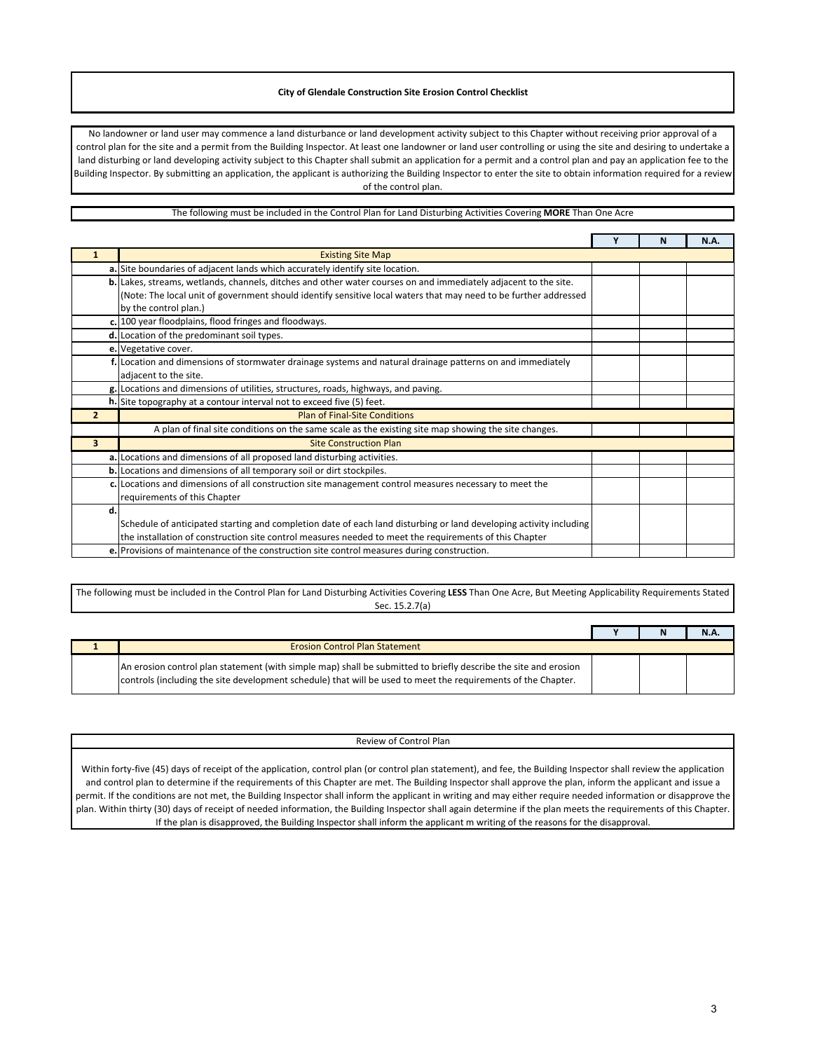No landowner or land user may commence a land disturbance or land development activity subject to this Chapter without receiving prior approval of a control plan for the site and a permit from the Building Inspector. At least one landowner or land user controlling or using the site and desiring to undertake a land disturbing or land developing activity subject to this Chapter shall submit an application for a permit and a control plan and pay an application fee to the Building Inspector. By submitting an application, the applicant is authorizing the Building Inspector to enter the site to obtain information required for a review of the control plan.

### The following must be included in the Control Plan for Land Disturbing Activities Covering **MORE** Than One Acre

|                         |                                                                                                                    | N | <b>N.A.</b> |
|-------------------------|--------------------------------------------------------------------------------------------------------------------|---|-------------|
|                         | <b>Existing Site Map</b>                                                                                           |   |             |
|                         | a. Site boundaries of adjacent lands which accurately identify site location.                                      |   |             |
|                         | b. Lakes, streams, wetlands, channels, ditches and other water courses on and immediately adjacent to the site.    |   |             |
|                         | (Note: The local unit of government should identify sensitive local waters that may need to be further addressed   |   |             |
|                         | by the control plan.)                                                                                              |   |             |
|                         | c. 100 year floodplains, flood fringes and floodways.                                                              |   |             |
|                         | d. Location of the predominant soil types.                                                                         |   |             |
|                         | e. Vegetative cover.                                                                                               |   |             |
|                         | f. Location and dimensions of stormwater drainage systems and natural drainage patterns on and immediately         |   |             |
|                         | adjacent to the site.                                                                                              |   |             |
|                         | g. Locations and dimensions of utilities, structures, roads, highways, and paving.                                 |   |             |
|                         | h. Site topography at a contour interval not to exceed five (5) feet.                                              |   |             |
| $\overline{2}$          | <b>Plan of Final-Site Conditions</b>                                                                               |   |             |
|                         | A plan of final site conditions on the same scale as the existing site map showing the site changes.               |   |             |
| $\overline{\mathbf{3}}$ | <b>Site Construction Plan</b>                                                                                      |   |             |
|                         | a. Locations and dimensions of all proposed land disturbing activities.                                            |   |             |
|                         | b. Locations and dimensions of all temporary soil or dirt stockpiles.                                              |   |             |
|                         | c. Locations and dimensions of all construction site management control measures necessary to meet the             |   |             |
|                         | requirements of this Chapter                                                                                       |   |             |
| d.                      |                                                                                                                    |   |             |
|                         | Schedule of anticipated starting and completion date of each land disturbing or land developing activity including |   |             |
|                         | the installation of construction site control measures needed to meet the requirements of this Chapter             |   |             |
|                         | e. Provisions of maintenance of the construction site control measures during construction.                        |   |             |

#### The following must be included in the Control Plan for Land Disturbing Activities Covering **LESS** Than One Acre, But Meeting Applicability Requirements Stated Sec. 15.2.7(a)

|                                                                                                                                                                                                                                  |  | <b>N.A.</b> |
|----------------------------------------------------------------------------------------------------------------------------------------------------------------------------------------------------------------------------------|--|-------------|
| <b>Erosion Control Plan Statement</b>                                                                                                                                                                                            |  |             |
| An erosion control plan statement (with simple map) shall be submitted to briefly describe the site and erosion<br>controls (including the site development schedule) that will be used to meet the requirements of the Chapter. |  |             |

#### Review of Control Plan

Within forty-five (45) days of receipt of the application, control plan (or control plan statement), and fee, the Building Inspector shall review the application and control plan to determine if the requirements of this Chapter are met. The Building Inspector shall approve the plan, inform the applicant and issue a permit. If the conditions are not met, the Building Inspector shall inform the applicant in writing and may either require needed information or disapprove the plan. Within thirty (30) days of receipt of needed information, the Building Inspector shall again determine if the plan meets the requirements of this Chapter. If the plan is disapproved, the Building Inspector shall inform the applicant m writing of the reasons for the disapproval.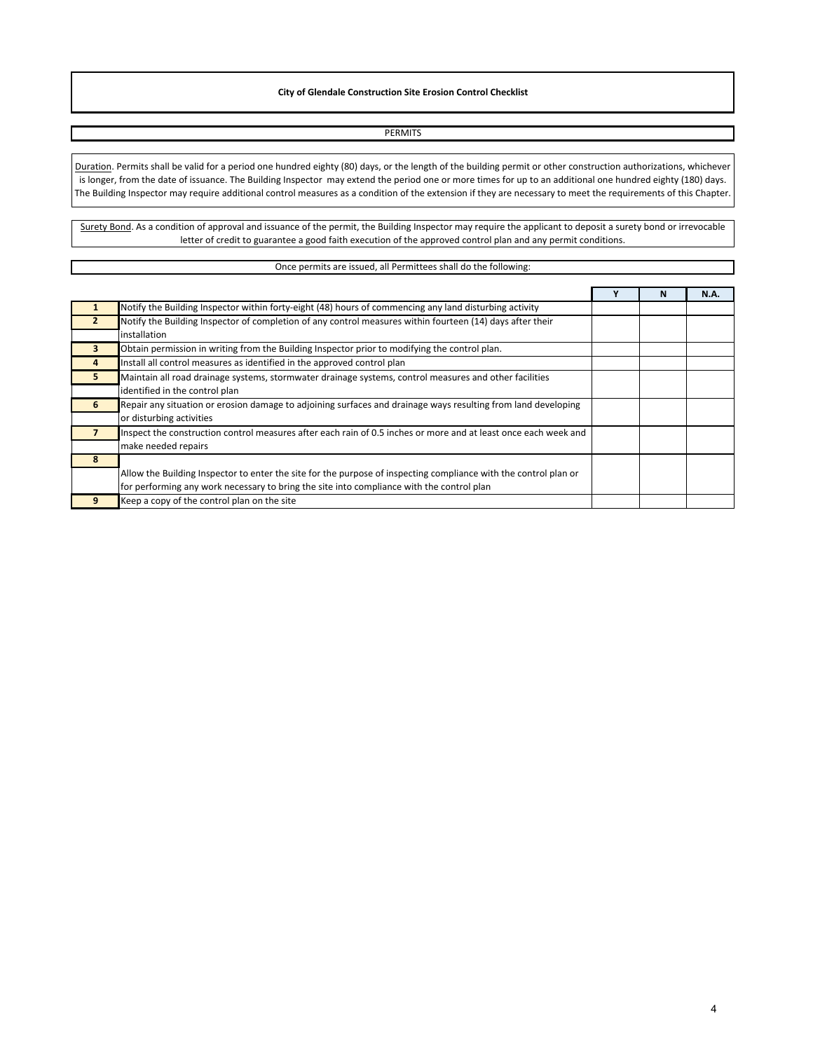PERMITS Duration. Permits shall be valid for a period one hundred eighty (80) days, or the length of the building permit or other construction authorizations, whichever is longer, from the date of issuance. The Building Inspector may extend the period one or more times for up to an additional one hundred eighty (180) days. The Building Inspector may require additional control measures as a condition of the extension if they are necessary to meet the requirements of this Chapter.

Surety Bond. As a condition of approval and issuance of the permit, the Building Inspector may require the applicant to deposit a surety bond or irrevocable letter of credit to guarantee a good faith execution of the approved control plan and any permit conditions.

#### Once permits are issued, all Permittees shall do the following:

|    |                                                                                                                  | N | N.A. |
|----|------------------------------------------------------------------------------------------------------------------|---|------|
|    | Notify the Building Inspector within forty-eight (48) hours of commencing any land disturbing activity           |   |      |
|    | Notify the Building Inspector of completion of any control measures within fourteen (14) days after their        |   |      |
|    | installation                                                                                                     |   |      |
| 3  | Obtain permission in writing from the Building Inspector prior to modifying the control plan.                    |   |      |
| 4  | Install all control measures as identified in the approved control plan                                          |   |      |
| 5. | Maintain all road drainage systems, stormwater drainage systems, control measures and other facilities           |   |      |
|    | identified in the control plan                                                                                   |   |      |
| 6  | Repair any situation or erosion damage to adjoining surfaces and drainage ways resulting from land developing    |   |      |
|    | or disturbing activities                                                                                         |   |      |
|    | Inspect the construction control measures after each rain of 0.5 inches or more and at least once each week and  |   |      |
|    | make needed repairs                                                                                              |   |      |
|    |                                                                                                                  |   |      |
|    | Allow the Building Inspector to enter the site for the purpose of inspecting compliance with the control plan or |   |      |
|    | for performing any work necessary to bring the site into compliance with the control plan                        |   |      |
|    | Keep a copy of the control plan on the site                                                                      |   |      |